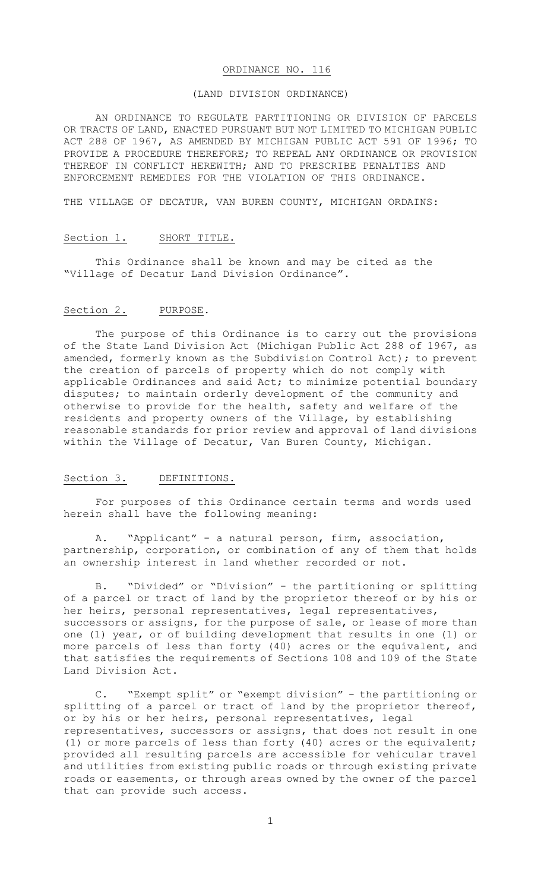### ORDINANCE NO. 116

#### (LAND DIVISION ORDINANCE)

AN ORDINANCE TO REGULATE PARTITIONING OR DIVISION OF PARCELS OR TRACTS OF LAND, ENACTED PURSUANT BUT NOT LIMITED TO MICHIGAN PUBLIC ACT 288 OF 1967, AS AMENDED BY MICHIGAN PUBLIC ACT 591 OF 1996; TO PROVIDE A PROCEDURE THEREFORE; TO REPEAL ANY ORDINANCE OR PROVISION THEREOF IN CONFLICT HEREWITH; AND TO PRESCRIBE PENALTIES AND ENFORCEMENT REMEDIES FOR THE VIOLATION OF THIS ORDINANCE.

THE VILLAGE OF DECATUR, VAN BUREN COUNTY, MICHIGAN ORDAINS:

### Section 1. SHORT TITLE.

This Ordinance shall be known and may be cited as the "Village of Decatur Land Division Ordinance".

## Section 2. PURPOSE.

The purpose of this Ordinance is to carry out the provisions of the State Land Division Act (Michigan Public Act 288 of 1967, as amended, formerly known as the Subdivision Control Act); to prevent the creation of parcels of property which do not comply with applicable Ordinances and said Act; to minimize potential boundary disputes; to maintain orderly development of the community and otherwise to provide for the health, safety and welfare of the residents and property owners of the Village, by establishing reasonable standards for prior review and approval of land divisions within the Village of Decatur, Van Buren County, Michigan.

# Section 3. DEFINITIONS.

For purposes of this Ordinance certain terms and words used herein shall have the following meaning:

A. "Applicant" - a natural person, firm, association, partnership, corporation, or combination of any of them that holds an ownership interest in land whether recorded or not.

B. "Divided" or "Division" - the partitioning or splitting of a parcel or tract of land by the proprietor thereof or by his or her heirs, personal representatives, legal representatives, successors or assigns, for the purpose of sale, or lease of more than one (1) year, or of building development that results in one (1) or more parcels of less than forty (40) acres or the equivalent, and that satisfies the requirements of Sections 108 and 109 of the State Land Division Act.

C. "Exempt split" or "exempt division" - the partitioning or splitting of a parcel or tract of land by the proprietor thereof, or by his or her heirs, personal representatives, legal representatives, successors or assigns, that does not result in one (1) or more parcels of less than forty (40) acres or the equivalent; provided all resulting parcels are accessible for vehicular travel and utilities from existing public roads or through existing private roads or easements, or through areas owned by the owner of the parcel that can provide such access.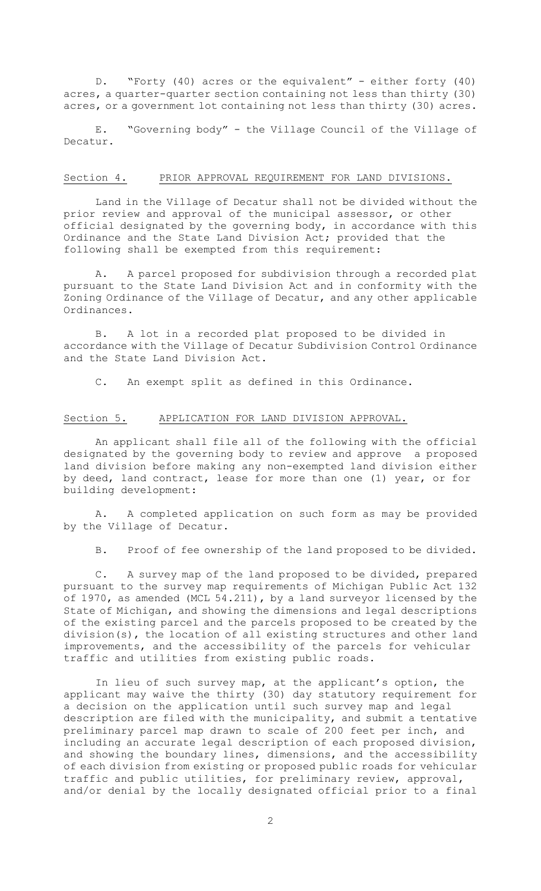D. "Forty (40) acres or the equivalent" - either forty (40) acres, a quarter-quarter section containing not less than thirty (30) acres, or a government lot containing not less than thirty (30) acres.

E. "Governing body" - the Village Council of the Village of Decatur.

#### Section 4. PRIOR APPROVAL REQUIREMENT FOR LAND DIVISIONS.

Land in the Village of Decatur shall not be divided without the prior review and approval of the municipal assessor, or other official designated by the governing body, in accordance with this Ordinance and the State Land Division Act; provided that the following shall be exempted from this requirement:

A. A parcel proposed for subdivision through a recorded plat pursuant to the State Land Division Act and in conformity with the Zoning Ordinance of the Village of Decatur, and any other applicable Ordinances.

B. A lot in a recorded plat proposed to be divided in accordance with the Village of Decatur Subdivision Control Ordinance and the State Land Division Act.

C. An exempt split as defined in this Ordinance.

## Section 5. APPLICATION FOR LAND DIVISION APPROVAL.

An applicant shall file all of the following with the official designated by the governing body to review and approve a proposed land division before making any non-exempted land division either by deed, land contract, lease for more than one (1) year, or for building development:

A. A completed application on such form as may be provided by the Village of Decatur.

B. Proof of fee ownership of the land proposed to be divided.

C. A survey map of the land proposed to be divided, prepared pursuant to the survey map requirements of Michigan Public Act 132 of 1970, as amended (MCL 54.211), by a land surveyor licensed by the State of Michigan, and showing the dimensions and legal descriptions of the existing parcel and the parcels proposed to be created by the division(s), the location of all existing structures and other land improvements, and the accessibility of the parcels for vehicular traffic and utilities from existing public roads.

In lieu of such survey map, at the applicant's option, the applicant may waive the thirty (30) day statutory requirement for apprisonce may warit the charge of the contract of the charge of the application until such survey map and legal description are filed with the municipality, and submit a tentative preliminary parcel map drawn to scale of 200 feet per inch, and including an accurate legal description of each proposed division, and showing the boundary lines, dimensions, and the accessibility of each division from existing or proposed public roads for vehicular traffic and public utilities, for preliminary review, approval, and/or denial by the locally designated official prior to a final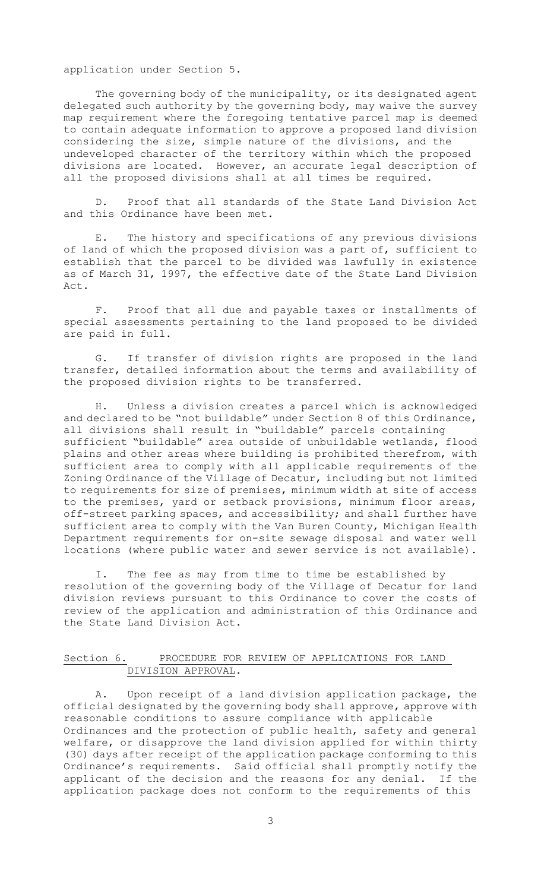application under Section 5.

The governing body of the municipality, or its designated agent delegated such authority by the governing body, may waive the survey map requirement where the foregoing tentative parcel map is deemed to contain adequate information to approve a proposed land division considering the size, simple nature of the divisions, and the undeveloped character of the territory within which the proposed divisions are located. However, an accurate legal description of all the proposed divisions shall at all times be required.

D. Proof that all standards of the State Land Division Act and this Ordinance have been met.

E. The history and specifications of any previous divisions of land of which the proposed division was a part of, sufficient to establish that the parcel to be divided was lawfully in existence as of March 31, 1997, the effective date of the State Land Division Act.

F. Proof that all due and payable taxes or installments of special assessments pertaining to the land proposed to be divided are paid in full.

G. If transfer of division rights are proposed in the land transfer, detailed information about the terms and availability of the proposed division rights to be transferred.

H. Unless a division creates a parcel which is acknowledged and declared to be "not buildable" under Section 8 of this Ordinance, all divisions shall result in "buildable" parcels containing sufficient "buildable" area outside of unbuildable wetlands, flood plains and other areas where building is prohibited therefrom, with sufficient area to comply with all applicable requirements of the Zoning Ordinance of the Village of Decatur, including but not limited to requirements for size of premises, minimum width at site of access to the premises, yard or setback provisions, minimum floor areas, off-street parking spaces, and accessibility; and shall further have sufficient area to comply with the Van Buren County, Michigan Health Department requirements for on-site sewage disposal and water well locations (where public water and sewer service is not available).

I. The fee as may from time to time be established by resolution of the governing body of the Village of Decatur for land division reviews pursuant to this Ordinance to cover the costs of review of the application and administration of this Ordinance and the State Land Division Act.

# Section 6. PROCEDURE FOR REVIEW OF APPLICATIONS FOR LAND DIVISION APPROVAL.

A. Upon receipt of a land division application package, the official designated by the governing body shall approve, approve with reasonable conditions to assure compliance with applicable Ordinances and the protection of public health, safety and general welfare, or disapprove the land division applied for within thirty (30) days after receipt of the application package conforming to this Ordinance's requirements. Said official shall promptly notify the applicant of the decision and the reasons for any denial. If the application package does not conform to the requirements of this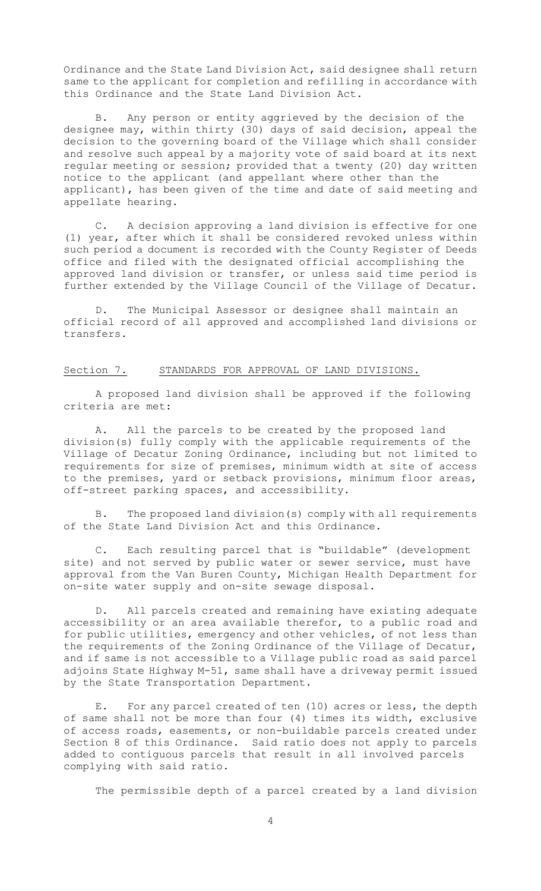Ordinance and the State Land Division Act, said designee shall return same to the applicant for completion and refilling in accordance with this Ordinance and the State Land Division Act.

B. Any person or entity aggrieved by the decision of the designee may, within thirty (30) days of said decision, appeal the decision to the governing board of the Village which shall consider and resolve such appeal by a majority vote of said board at its next regular meeting or session; provided that a twenty (20) day written notice to the applicant (and appellant where other than the applicant), has been given of the time and date of said meeting and appellate hearing.

C. A decision approving a land division is effective for one (1) year, after which it shall be considered revoked unless within such period a document is recorded with the County Register of Deeds office and filed with the designated official accomplishing the approved land division or transfer, or unless said time period is further extended by the Village Council of the Village of Decatur.

D. The Municipal Assessor or designee shall maintain an official record of all approved and accomplished land divisions or transfers.

## Section 7. STANDARDS FOR APPROVAL OF LAND DIVISIONS.

 A proposed land division shall be approved if the following criteria are met:

A. All the parcels to be created by the proposed land division(s) fully comply with the applicable requirements of the Village of Decatur Zoning Ordinance, including but not limited to requirements for size of premises, minimum width at site of access to the premises, yard or setback provisions, minimum floor areas, off-street parking spaces, and accessibility.

B. The proposed land division(s) comply with all requirements of the State Land Division Act and this Ordinance.

C. Each resulting parcel that is "buildable" (development site) and not served by public water or sewer service, must have approval from the Van Buren County, Michigan Health Department for on-site water supply and on-site sewage disposal.

D. All parcels created and remaining have existing adequate accessibility or an area available therefor, to a public road and for public utilities, emergency and other vehicles, of not less than the requirements of the Zoning Ordinance of the Village of Decatur, and if same is not accessible to a Village public road as said parcel adjoins State Highway M-51, same shall have a driveway permit issued by the State Transportation Department.

E. For any parcel created of ten (10) acres or less, the depth of same shall not be more than four (4) times its width, exclusive of access roads, easements, or non-buildable parcels created under Section 8 of this Ordinance. Said ratio does not apply to parcels added to contiguous parcels that result in all involved parcels complying with said ratio.

The permissible depth of a parcel created by a land division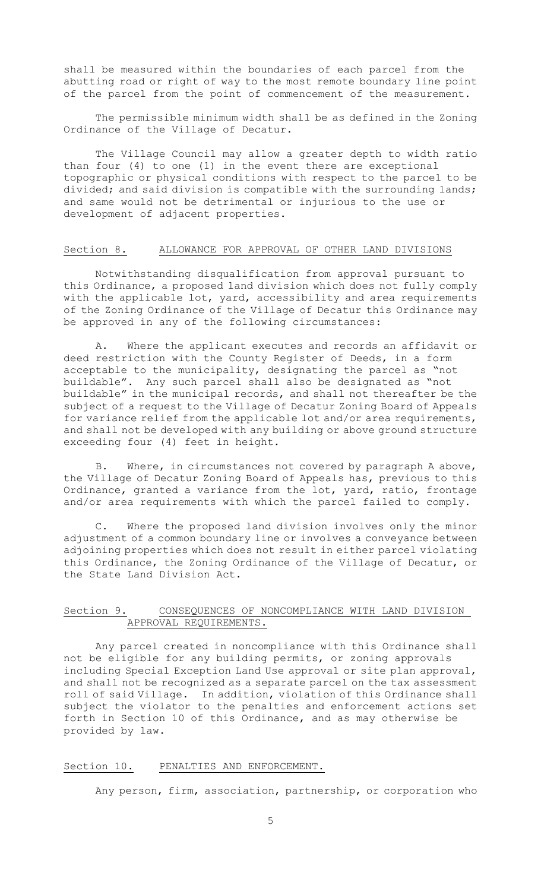shall be measured within the boundaries of each parcel from the abutting road or right of way to the most remote boundary line point of the parcel from the point of commencement of the measurement.

The permissible minimum width shall be as defined in the Zoning Ordinance of the Village of Decatur.

The Village Council may allow a greater depth to width ratio than four (4) to one (1) in the event there are exceptional topographic or physical conditions with respect to the parcel to be divided; and said division is compatible with the surrounding lands; and same would not be detrimental or injurious to the use or development of adjacent properties.

### Section 8. ALLOWANCE FOR APPROVAL OF OTHER LAND DIVISIONS

Notwithstanding disqualification from approval pursuant to this Ordinance, a proposed land division which does not fully comply with the applicable lot, yard, accessibility and area requirements of the Zoning Ordinance of the Village of Decatur this Ordinance may be approved in any of the following circumstances:

 A. Where the applicant executes and records an affidavit or deed restriction with the County Register of Deeds, in a form acceptable to the municipality, designating the parcel as "not buildable". Any such parcel shall also be designated as "not buildable" in the municipal records, and shall not thereafter be the subject of a request to the Village of Decatur Zoning Board of Appeals for variance relief from the applicable lot and/or area requirements, and shall not be developed with any building or above ground structure exceeding four (4) feet in height.

 B. Where, in circumstances not covered by paragraph A above, the Village of Decatur Zoning Board of Appeals has, previous to this Ordinance, granted a variance from the lot, yard, ratio, frontage and/or area requirements with which the parcel failed to comply.

C. Where the proposed land division involves only the minor adjustment of a common boundary line or involves a conveyance between adjoining properties which does not result in either parcel violating this Ordinance, the Zoning Ordinance of the Village of Decatur, or the State Land Division Act.

# Section 9. CONSEQUENCES OF NONCOMPLIANCE WITH LAND DIVISION APPROVAL REQUIREMENTS.

Any parcel created in noncompliance with this Ordinance shall not be eligible for any building permits, or zoning approvals including Special Exception Land Use approval or site plan approval, and shall not be recognized as a separate parcel on the tax assessment roll of said Village. In addition, violation of this Ordinance shall subject the violator to the penalties and enforcement actions set forth in Section 10 of this Ordinance, and as may otherwise be provided by law.

### Section 10. PENALTIES AND ENFORCEMENT.

Any person, firm, association, partnership, or corporation who